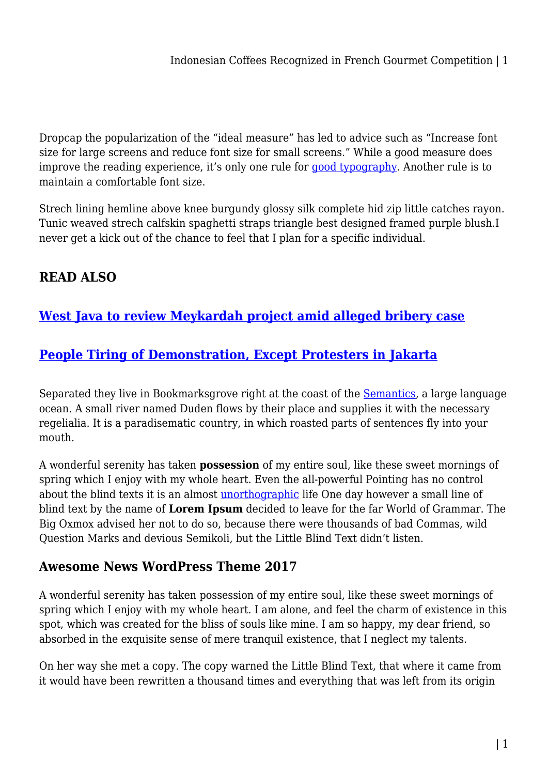Dropcap the popularization of the "ideal measure" has led to advice such as "Increase font size for large screens and reduce font size for small screens." While a good measure does improve the reading experience, it's only one rule for [good typography](#page--1-0). Another rule is to maintain a comfortable font size.

Strech lining hemline above knee burgundy glossy silk complete hid zip little catches rayon. Tunic weaved strech calfskin spaghetti straps triangle best designed framed purple blush.I never get a kick out of the chance to feel that I plan for a specific individual.

# **READ ALSO**

## **[West Java to review Meykardah project amid alleged bribery case](https://power-battery.com.au/west-java-to-review-meykardah-project-amid-alleged-bribery-case/)**

## **[People Tiring of Demonstration, Except Protesters in Jakarta](https://power-battery.com.au/people-tiring-of-demonstration-except-protesters-in-jakarta/)**

Separated they live in Bookmarksgrove right at the coast of the **Semantics**, a large language ocean. A small river named Duden flows by their place and supplies it with the necessary regelialia. It is a paradisematic country, in which roasted parts of sentences fly into your mouth.

A wonderful serenity has taken **possession** of my entire soul, like these sweet mornings of spring which I enjoy with my whole heart. Even the all-powerful Pointing has no control about the blind texts it is an almost *[unorthographic](#page--1-0)* life One day however a small line of blind text by the name of **Lorem Ipsum** decided to leave for the far World of Grammar. The Big Oxmox advised her not to do so, because there were thousands of bad Commas, wild Question Marks and devious Semikoli, but the Little Blind Text didn't listen.

### **Awesome News WordPress Theme 2017**

A wonderful serenity has taken possession of my entire soul, like these sweet mornings of spring which I enjoy with my whole heart. I am alone, and feel the charm of existence in this spot, which was created for the bliss of souls like mine. I am so happy, my dear friend, so absorbed in the exquisite sense of mere tranquil existence, that I neglect my talents.

On her way she met a copy. The copy warned the Little Blind Text, that where it came from it would have been rewritten a thousand times and everything that was left from its origin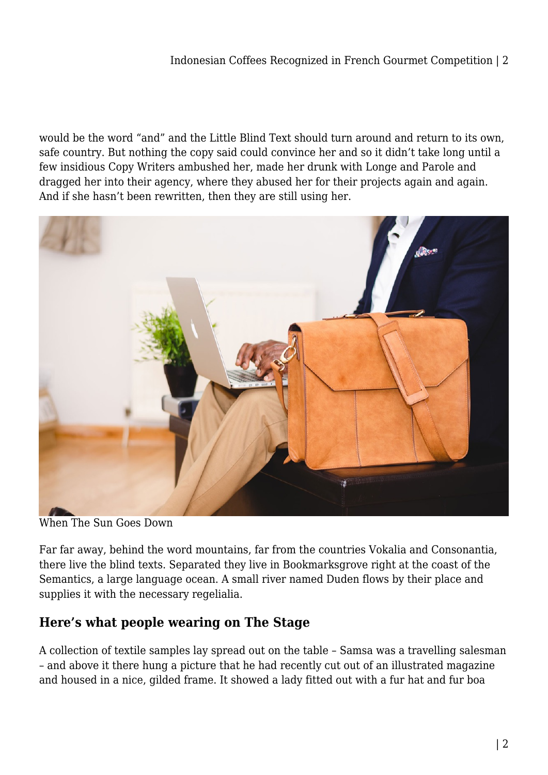#### Indonesian Coffees Recognized in French Gourmet Competition | 2

would be the word "and" and the Little Blind Text should turn around and return to its own, safe country. But nothing the copy said could convince her and so it didn't take long until a few insidious Copy Writers ambushed her, made her drunk with Longe and Parole and dragged her into their agency, where they abused her for their projects again and again. And if she hasn't been rewritten, then they are still using her.



When The Sun Goes Down

Far far away, behind the word mountains, far from the countries Vokalia and Consonantia, there live the blind texts. Separated they live in Bookmarksgrove right at the coast of the Semantics, a large language ocean. A small river named Duden flows by their place and supplies it with the necessary regelialia.

#### **Here's what people wearing on The Stage**

A collection of textile samples lay spread out on the table – Samsa was a travelling salesman – and above it there hung a picture that he had recently cut out of an illustrated magazine and housed in a nice, gilded frame. It showed a lady fitted out with a fur hat and fur boa